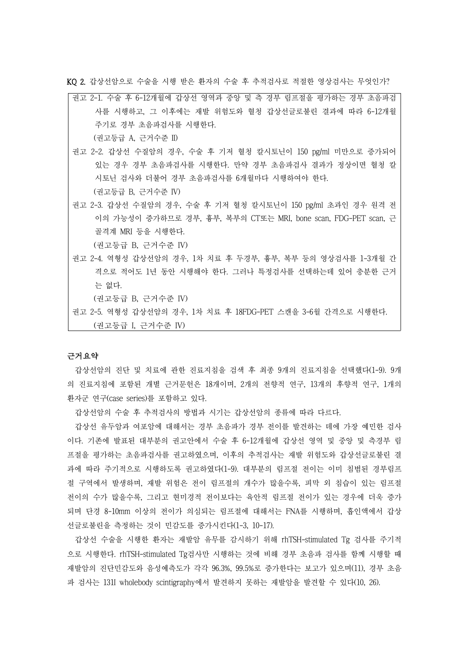KQ 2. 갑상선암으로 수술을 시행 받은 환자의 수술 후 추적검사로 적절한 영상검사는 무엇인가?

권고 2-1. 수술 후 6-12개월에 갑상선 영역과 중앙 및 측 경부 림프절을 평가하는 경부 초음파검 사를 시행하고, 그 이후에는 재발 위험도와 혈청 갑상선글로불린 결과에 따라 6-12개월 주기로 경부 초음파검사를 시행한다.

(권고등급 A, 근거수준 II)

- 권고 2-2. 갑상선 수질암의 경우, 수술 후 기저 혈청 칼시토닌이 150 pg/ml 미만으로 증가되어 있는 경우 경부 초음파검사를 시행한다. 만약 경부 초음파검사 결과가 정상이면 혈청 칼 시토닌 검사와 더불어 경부 초음파검사를 6개월마다 시행하여야 한다. (권고등급 B, 근거수준 IV)
- 권고 2-3. 갑상선 수질암의 경우, 수술 후 기저 혈청 칼시토닌이 150 pg/ml 초과인 경우 원격 전 이의 가능성이 증가하므로 경부, 흉부, 복부의 CT또는 MRI, bone scan, FDG-PET scan, 근 골격계 MRI 등을 시행한다.

(권고등급 B, 근거수준 IV)

권고 2-4. 역형성 갑상선암의 경우, 1차 치료 후 두경부, 흉부, 복부 등의 영상검사를 1-3개월 간 격으로 적어도 1년 동안 시행해야 한다. 그러나 특정검사를 선택하는데 있어 충분한 근거 는 없다.

(권고등급 B, 근거수준 IV)

권고 2-5. 역형성 갑상선암의 경우, 1차 치료 후 18FDG-PET 스캔을 3-6월 간격으로 시행한다. (권고등급 I, 근거수준 IV)

### 근거요약

갑상선암의 진단 및 치료에 관한 진료지침을 검색 후 최종 9개의 진료지침을 선택했다(1-9). 9개 의 진료지침에 포함된 개별 근거문헌은 18개이며, 2개의 전향적 연구, 13개의 후향적 연구, 1개의 환자군 연구(case series)를 포함하고 있다.

갑상선암의 수술 후 추적검사의 방법과 시기는 갑상선암의 종류에 따라 다르다.

갑상선 유두암과 여포암에 대해서는 경부 초음파가 경부 전이를 발견하는 데에 가장 예민한 검사 이다. 기존에 발표된 대부분의 권고안에서 수술 후 6-12개월에 갑상선 영역 및 중앙 및 측경부 림 프절을 평가하는 초음파검사를 권고하였으며, 이후의 추적검사는 재발 위험도와 갑상선글로불린 결 과에 따라 주기적으로 시행하도록 권고하였다(1-9). 대부분의 림프절 전이는 이미 침범된 경부림프 절 구역에서 발생하며, 재발 위험은 전이 림프절의 개수가 많을수록, 피막 외 침습이 있는 림프절 전이의 수가 많을수록, 그리고 현미경적 전이보다는 육안적 림프절 전이가 있는 경우에 더욱 증가 되며 단경 8-10mm 이상의 전이가 의심되는 림프절에 대해서는 FNA를 시행하며, 흡인액에서 갑상 선글로불린을 측정하는 것이 민감도를 증가시킨다(1-3, 10-17).

갑상선 수술을 시행한 환자는 재발암 유무를 감시하기 위해 rhTSH-stimulated Tg 검사를 주기적 으로 시행한다. rhTSH-stimulated Tg검사만 시행하는 것에 비해 경부 초음파 검사를 함께 시행할 때 재발암의 진단민감도와 음성예측도가 각각 96.3%, 99.5%로 증가한다는 보고가 있으며(11), 경부 초음 파 검사는 131I wholebody scintigraphy에서 발견하지 못하는 재발암을 발견할 수 있다(10, 26).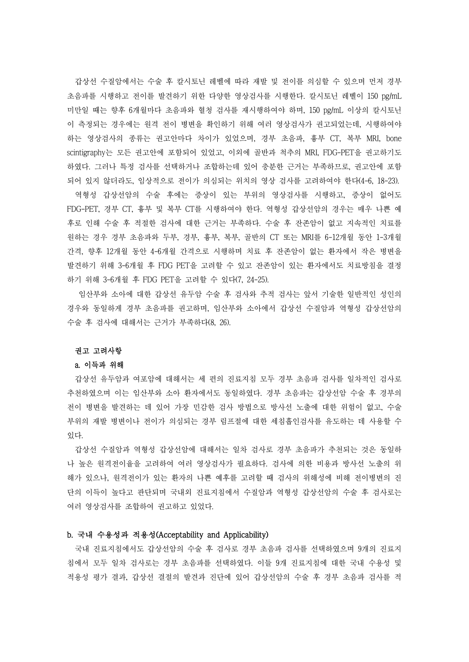갑상선 수질암에서는 수술 후 칼시토닌 레벨에 따라 재발 및 전이를 의심할 수 있으며 먼저 경부 초음파를 시행하고 전이를 발견하기 위한 다양한 영상검사를 시행한다. 칼시토닌 레벨이 150 pg/mL 미만일 때는 향후 6개월마다 초음파와 혈청 검사를 재시행하여야 하며, 150 pg/mL 이상의 칼시토닌 이 측정되는 경우에는 원격 전이 병변을 확인하기 위해 여러 영상검사가 권고되었는데, 시행하여야 하는 영상검사의 종류는 권고안마다 차이가 있었으며, 경부 초음파, 흉부 CT, 복부 MRI, bone scintigraphy는 모든 권고안에 포함되어 있었고, 이외에 골반과 척추의 MRI, FDG-PET을 권고하기도 하였다. 그러나 특정 검사를 선택하거나 조합하는데 있어 충분한 근거는 부족하므로, 권고안에 포함 되어 있지 않더라도, 임상적으로 전이가 의심되는 위치의 영상 검사를 고려하여야 한다(4-6, 18-23).

역형성 갑상선암의 수술 후에는 증상이 있는 부위의 영상검사를 시행하고, 증상이 없어도 FDG-PET, 경부 CT, 흉부 및 복부 CT를 시행하여야 한다. 역형성 갑상선암의 경우는 매우 나쁜 예 후로 인해 수술 후 적절한 검사에 대한 근거는 부족하다. 수술 후 잔존암이 없고 지속적인 치료를 원하는 경우 경부 초음파와 두부, 경부, 흉부, 복부, 골반의 CT 또는 MRI를 6-12개월 동안 1-3개월 간격, 향후 12개월 동안 4-6개월 간격으로 시행하며 치료 후 잔존암이 없는 환자에서 작은 병변을 발견하기 위해 3-6개월 후 FDG PET을 고려할 수 있고 잔존암이 있는 환자에서도 치료방침을 결정 하기 위해 3-6개월 후 FDG PET을 고려할 수 있다(7, 24-25).

임산부와 소아에 대한 갑상선 유두암 수술 후 검사와 추적 검사는 앞서 기술한 일반적인 성인의 경우와 동일하게 경부 초음파를 권고하며, 임산부와 소아에서 갑상선 수질암과 역형성 갑상선암의 수술 후 검사에 대해서는 근거가 부족하다(8, 26).

#### 권고 고려사항

#### a. 이득과 위해

갑상선 유두암과 여포암에 대해서는 세 편의 진료지침 모두 경부 초음파 검사를 일차적인 검사로 추천하였으며 이는 임산부와 소아 환자에서도 동일하였다. 경부 초음파는 갑상선암 수술 후 경부의 전이 병변을 발견하는 데 있어 가장 민감한 검사 방법으로 방사선 노출에 대한 위험이 없고, 수술 부위의 재발 병변이나 전이가 의심되는 경부 림프절에 대한 세침흡인검사를 유도하는 데 사용할 수 있다.<br>-<br>- 갑상선 수질암과 역형성 갑상선암에 대해서는 일차 검사로 경부 초음파가 추천되는 것은 동일하

나 높은 원격전이율을 고려하여 여러 영상검사가 필요하다. 검사에 의한 비용과 방사선 노출의 위 해가 있으나, 원격전이가 있는 환자의 나쁜 예후를 고려할 때 검사의 위해성에 비해 전이병변의 진 단의 이득이 높다고 판단되며 국내외 진료지침에서 수질암과 역형성 갑상선암의 수술 후 검사로는 여러 영상검사를 조합하여 권고하고 있었다.

## b. 국내 수용성과 적용성(Acceptability and Applicability)

국내 진료지침에서도 갑상선암의 수술 후 검사로 경부 초음파 검사를 선택하였으며 9개의 진료지 침에서 모두 일차 검사로는 경부 초음파를 선택하였다. 이들 9개 진료지침에 대한 국내 수용성 및 적용성 평가 결과, 갑상선 결절의 발견과 진단에 있어 갑상선암의 수술 후 경부 초음파 검사를 적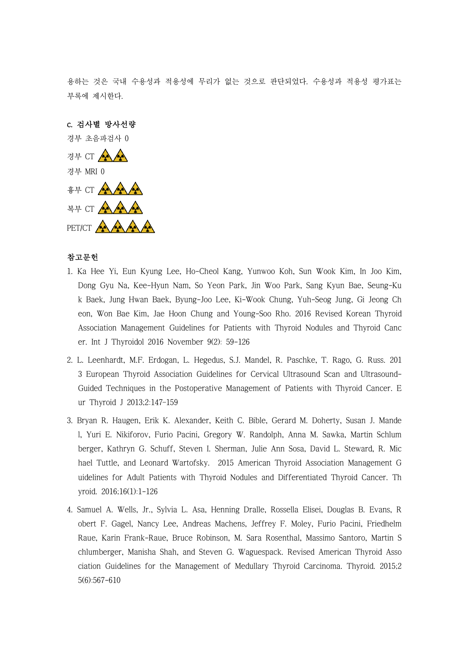용하는 것은 국내 수용성과 적용성에 무리가 없는 것으로 판단되었다. 수용성과 적용성 평가표는 부록에 제시한다.

c. 검사별 방사선량 경부 초음파검사 0 경부 CT AA AA 경부 MRI 0 흉부 CT AAAA 복부 CT AAAA PET/CT ANA

# 참고문헌

- 1. Ka Hee Yi, Eun Kyung Lee, Ho-Cheol Kang, Yunwoo Koh, Sun Wook Kim, In Joo Kim, Dong Gyu Na, Kee-Hyun Nam, So Yeon Park, Jin Woo Park, Sang Kyun Bae, Seung-Ku k Baek, Jung Hwan Baek, Byung-Joo Lee, Ki-Wook Chung, Yuh-Seog Jung, Gi Jeong Ch eon, Won Bae Kim, Jae Hoon Chung and Young-Soo Rho. 2016 Revised Korean Thyroid Association Management Guidelines for Patients with Thyroid Nodules and Thyroid Canc er. Int J Thyroidol 2016 November 9(2): 59-126
- 2. L. Leenhardt, M.F. Erdogan, L. Hegedus, S.J. Mandel, R. Paschke, T. Rago, G. Russ. 201 3 European Thyroid Association Guidelines for Cervical Ultrasound Scan and Ultrasound-Guided Techniques in the Postoperative Management of Patients with Thyroid Cancer. E ur Thyroid J 2013;2:147–159
- 3. Bryan R. Haugen, Erik K. Alexander, Keith C. Bible, Gerard M. Doherty, Susan J. Mande l, Yuri E. Nikiforov, Furio Pacini, Gregory W. Randolph, Anna M. Sawka, Martin Schlum berger, Kathryn G. Schuff, Steven I. Sherman, Julie Ann Sosa, David L. Steward, R. Mic hael Tuttle, and Leonard Wartofsky. 2015 American Thyroid Association Management G uidelines for Adult Patients with Thyroid Nodules and Differentiated Thyroid Cancer. Th yroid. 2016;16(1):1-126
- 4. Samuel A. Wells, Jr., Sylvia L. Asa, Henning Dralle, Rossella Elisei, Douglas B. Evans, R obert F. Gagel, Nancy Lee, Andreas Machens, Jeffrey F. Moley, Furio Pacini, Friedhelm Raue, Karin Frank-Raue, Bruce Robinson, M. Sara Rosenthal, Massimo Santoro, Martin S chlumberger, Manisha Shah, and Steven G. Waguespack. Revised American Thyroid Asso ciation Guidelines for the Management of Medullary Thyroid Carcinoma. Thyroid. 2015;2 5(6):567-610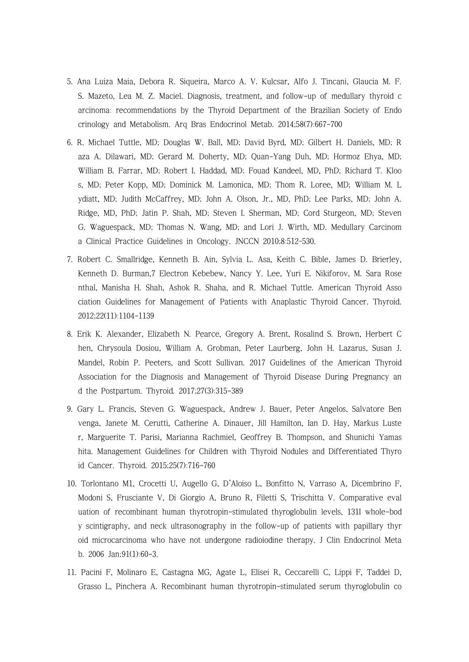- 5. Ana Luiza Maia, Debora R. Siqueira, Marco A. V. Kulcsar, Alfo J. Tincani, Glaucia M. F. S. Mazeto, Lea M. Z. Maciel. Diagnosis, treatment, and follow-up of medullary thyroid c arcinoma: recommendations by the Thyroid Department of the Brazilian Society of Endo crinology and Metabolism. Arq Bras Endocrinol Metab. 2014;58(7):667-700
- 6. R. Michael Tuttle, MD; Douglas W. Ball, MD; David Byrd, MD; Gilbert H. Daniels, MD; R aza A. Dilawari, MD; Gerard M. Doherty, MD; Quan-Yang Duh, MD; Hormoz Ehya, MD; William B. Farrar, MD; Robert I. Haddad, MD; Fouad Kandeel, MD, PhD; Richard T. Kloo s, MD; Peter Kopp, MD; Dominick M. Lamonica, MD; Thom R. Loree, MD; William M. L ydiatt, MD; Judith McCaffrey, MD; John A. Olson, Jr., MD, PhD; Lee Parks, MD; John A. Ridge, MD, PhD; Jatin P. Shah, MD; Steven I. Sherman, MD; Cord Sturgeon, MD; Steven G. Waguespack, MD; Thomas N. Wang, MD; and Lori J. Wirth, MD. Medullary Carcinom a Clinical Practice Guidelines in Oncology. JNCCN 2010;8:512–530.
- 7. Robert C. Smallridge, Kenneth B. Ain, Sylvia L. Asa, Keith C. Bible, James D. Brierley, Kenneth D. Burman,7 Electron Kebebew, Nancy Y. Lee, Yuri E. Nikiforov, M. Sara Rose nthal, Manisha H. Shah, Ashok R. Shaha, and R. Michael Tuttle. American Thyroid Asso ciation Guidelines for Management of Patients with Anaplastic Thyroid Cancer. Thyroid. 2012;22(11):1104-1139
- 8. Erik K. Alexander, Elizabeth N. Pearce, Gregory A. Brent, Rosalind S. Brown, Herbert C hen, Chrysoula Dosiou, William A. Grobman, Peter Laurberg, John H. Lazarus, Susan J. Mandel, Robin P. Peeters, and Scott Sullivan. 2017 Guidelines of the American Thyroid Association for the Diagnosis and Management of Thyroid Disease During Pregnancy an d the Postpartum. Thyroid. 2017;27(3):315-389
- 9. Gary L. Francis, Steven G. Waguespack, Andrew J. Bauer, Peter Angelos, Salvatore Ben venga, Janete M. Cerutti, Catherine A. Dinauer, Jill Hamilton, Ian D. Hay, Markus Luste r, Marguerite T. Parisi, Marianna Rachmiel, Geoffrey B. Thompson, and Shunichi Yamas hita. Management Guidelines for Children with Thyroid Nodules and Differentiated Thyro id Cancer. Thyroid. 2015;25(7):716-760
- 10. Torlontano M1, Crocetti U, Augello G, D'Aloiso L, Bonfitto N, Varraso A, Dicembrino F, Modoni S, Frusciante V, Di Giorgio A, Bruno R, Filetti S, Trischitta V. Comparative eval uation of recombinant human thyrotropin-stimulated thyroglobulin levels, 131I whole-bod y scintigraphy, and neck ultrasonography in the follow-up of patients with papillary thyr oid microcarcinoma who have not undergone radioiodine therapy. J Clin Endocrinol Meta b. 2006 Jan;91(1):60-3.
- 11. Pacini F, Molinaro E, Castagna MG, Agate L, Elisei R, Ceccarelli C, Lippi F, Taddei D, Grasso L, Pinchera A. Recombinant human thyrotropin-stimulated serum thyroglobulin co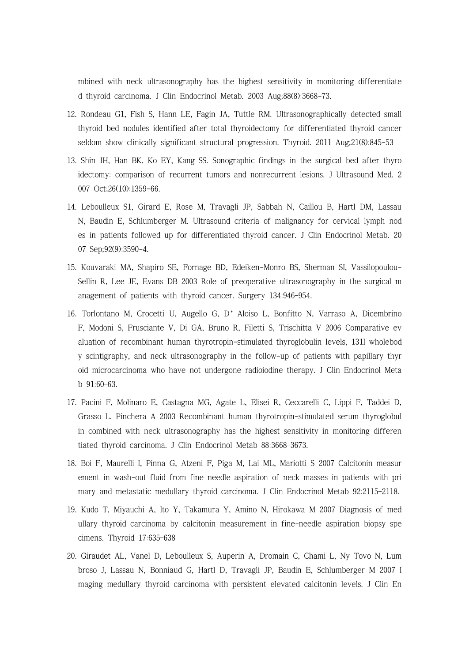mbined with neck ultrasonography has the highest sensitivity in monitoring differentiate d thyroid carcinoma. J Clin Endocrinol Metab. 2003 Aug;88(8):3668-73.

- 12. Rondeau G1, Fish S, Hann LE, Fagin JA, Tuttle RM. Ultrasonographically detected small thyroid bed nodules identified after total thyroidectomy for differentiated thyroid cancer seldom show clinically significant structural progression. Thyroid. 2011 Aug;21(8):845-53
- 13. Shin JH, Han BK, Ko EY, Kang SS. Sonographic findings in the surgical bed after thyro idectomy: comparison of recurrent tumors and nonrecurrent lesions. J Ultrasound Med. 2 007 Oct;26(10):1359-66.
- 14. Leboulleux S1, Girard E, Rose M, Travagli JP, Sabbah N, Caillou B, Hartl DM, Lassau N, Baudin E, Schlumberger M. Ultrasound criteria of malignancy for cervical lymph nod es in patients followed up for differentiated thyroid cancer. J Clin Endocrinol Metab. 20 07 Sep;92(9):3590-4.
- 15. Kouvaraki MA, Shapiro SE, Fornage BD, Edeiken-Monro BS, Sherman SI, Vassilopoulou-Sellin R, Lee JE, Evans DB 2003 Role of preoperative ultrasonography in the surgical m anagement of patients with thyroid cancer. Surgery 134:946–954.
- 16. Torlontano M, Crocetti U, Augello G, D'Aloiso L, Bonfitto N, Varraso A, Dicembrino F, Modoni S, Frusciante V, Di GA, Bruno R, Filetti S, Trischitta V 2006 Comparative ev aluation of recombinant human thyrotropin-stimulated thyroglobulin levels, 131I wholebod y scintigraphy, and neck ultrasonography in the follow-up of patients with papillary thyr oid microcarcinoma who have not undergone radioiodine therapy. J Clin Endocrinol Meta b 91:60–63.
- 17. Pacini F, Molinaro E, Castagna MG, Agate L, Elisei R, Ceccarelli C, Lippi F, Taddei D, Grasso L, Pinchera A 2003 Recombinant human thyrotropin-stimulated serum thyroglobul in combined with neck ultrasonography has the highest sensitivity in monitoring differen tiated thyroid carcinoma. J Clin Endocrinol Metab 88:3668–3673.
- 18. Boi F, Maurelli I, Pinna G, Atzeni F, Piga M, Lai ML, Mariotti S 2007 Calcitonin measur ement in wash-out fluid from fine needle aspiration of neck masses in patients with pri mary and metastatic medullary thyroid carcinoma. J Clin Endocrinol Metab 92:2115–2118.
- 19. Kudo T, Miyauchi A, Ito Y, Takamura Y, Amino N, Hirokawa M 2007 Diagnosis of med ullary thyroid carcinoma by calcitonin measurement in fine-needle aspiration biopsy spe cimens. Thyroid 17:635–638
- 20. Giraudet AL, Vanel D, Leboulleux S, Auperin A, Dromain C, Chami L, Ny Tovo N, Lum broso J, Lassau N, Bonniaud G, Hartl D, Travagli JP, Baudin E, Schlumberger M 2007 I maging medullary thyroid carcinoma with persistent elevated calcitonin levels. J Clin En